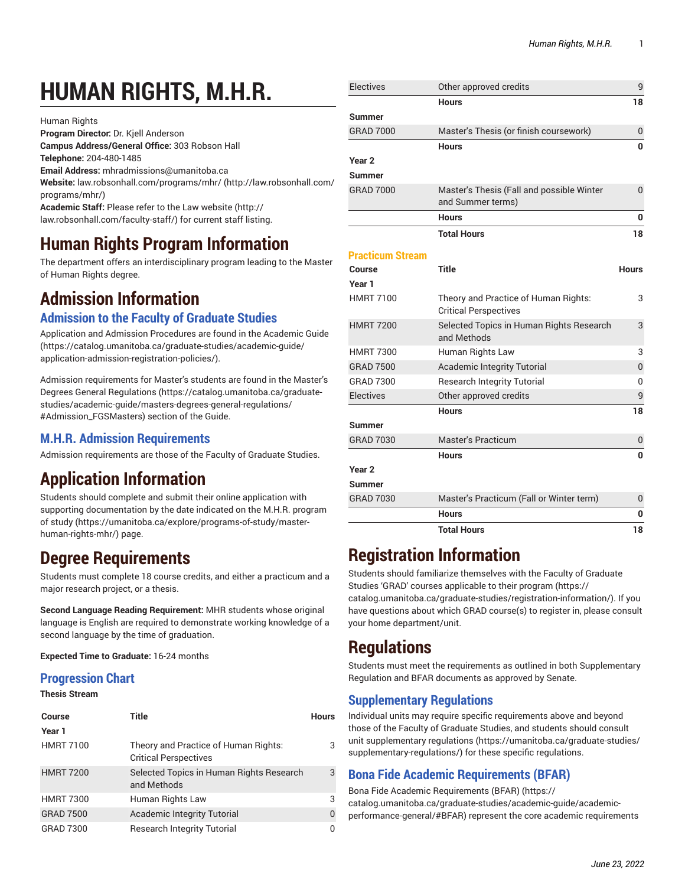# **HUMAN RIGHTS, M.H.R.**

Human Rights

**Program Director:** Dr. Kjell Anderson **Campus Address/General Office:** 303 Robson Hall **Telephone:** 204-480-1485 **Email Address:** [mhradmissions@umanitoba.ca](mailto:mhradmissions@umanitoba.ca)

**Website:** [law.robsonhall.com/programs/mhr/](http://law.robsonhall.com/programs/mhr/) ([http://law.robsonhall.com/](http://law.robsonhall.com/programs/mhr/) [programs/mhr/\)](http://law.robsonhall.com/programs/mhr/)

**Academic Staff:** Please refer to the [Law website \(http://](http://law.robsonhall.com/faculty-staff/) [law.robsonhall.com/faculty-staff/](http://law.robsonhall.com/faculty-staff/)) for current staff listing.

# **Human Rights Program Information**

The department offers an interdisciplinary program leading to the Master of Human Rights degree.

# **Admission Information**

#### **Admission to the Faculty of Graduate Studies**

Application and Admission Procedures are found in the [Academic Guide](https://catalog.umanitoba.ca/graduate-studies/academic-guide/application-admission-registration-policies/) ([https://catalog.umanitoba.ca/graduate-studies/academic-guide/](https://catalog.umanitoba.ca/graduate-studies/academic-guide/application-admission-registration-policies/) [application-admission-registration-policies/](https://catalog.umanitoba.ca/graduate-studies/academic-guide/application-admission-registration-policies/)).

Admission requirements for Master's students are found in the [Master's](https://catalog.umanitoba.ca/graduate-studies/academic-guide/masters-degrees-general-regulations/#Admission_FGSMasters) Degrees General [Regulations](https://catalog.umanitoba.ca/graduate-studies/academic-guide/masters-degrees-general-regulations/#Admission_FGSMasters) ([https://catalog.umanitoba.ca/graduate](https://catalog.umanitoba.ca/graduate-studies/academic-guide/masters-degrees-general-regulations/#Admission_FGSMasters)[studies/academic-guide/masters-degrees-general-regulations/](https://catalog.umanitoba.ca/graduate-studies/academic-guide/masters-degrees-general-regulations/#Admission_FGSMasters) [#Admission\\_FGSMasters](https://catalog.umanitoba.ca/graduate-studies/academic-guide/masters-degrees-general-regulations/#Admission_FGSMasters)) section of the Guide.

#### **M.H.R. Admission Requirements**

Admission requirements are those of the Faculty of Graduate Studies.

# **Application Information**

Students should complete and submit their online application with supporting documentation by the date indicated on the M.H.R. [program](https://umanitoba.ca/explore/programs-of-study/master-human-rights-mhr/) [of study](https://umanitoba.ca/explore/programs-of-study/master-human-rights-mhr/) ([https://umanitoba.ca/explore/programs-of-study/master](https://umanitoba.ca/explore/programs-of-study/master-human-rights-mhr/)[human-rights-mhr/\)](https://umanitoba.ca/explore/programs-of-study/master-human-rights-mhr/) page.

# **Degree Requirements**

Students must complete 18 course credits, and either a practicum and a major research project, or a thesis.

**Second Language Reading Requirement:** MHR students whose original language is English are required to demonstrate working knowledge of a second language by the time of graduation.

**Expected Time to Graduate:** 16-24 months

#### **Progression Chart**

#### **Thesis Stream**

| Course           | Title                                                                | <b>Hours</b> |
|------------------|----------------------------------------------------------------------|--------------|
| Year 1           |                                                                      |              |
| <b>HMRT 7100</b> | Theory and Practice of Human Rights:<br><b>Critical Perspectives</b> | 3            |
| <b>HMRT 7200</b> | Selected Topics in Human Rights Research<br>and Methods              | 3            |
| <b>HMRT 7300</b> | Human Rights Law                                                     | 3            |
| <b>GRAD 7500</b> | <b>Academic Integrity Tutorial</b>                                   | $\Omega$     |
| <b>GRAD 7300</b> | <b>Research Integrity Tutorial</b>                                   | O            |

| Electives               | Other approved credits                                               | 9              |
|-------------------------|----------------------------------------------------------------------|----------------|
|                         | <b>Hours</b>                                                         | 18             |
| <b>Summer</b>           |                                                                      |                |
| <b>GRAD 7000</b>        | Master's Thesis (or finish coursework)                               | 0              |
|                         | <b>Hours</b>                                                         | 0              |
| Year <sub>2</sub>       |                                                                      |                |
| Summer                  |                                                                      |                |
| <b>GRAD 7000</b>        | Master's Thesis (Fall and possible Winter<br>and Summer terms)       | 0              |
|                         | <b>Hours</b>                                                         | 0              |
|                         | <b>Total Hours</b>                                                   | 18             |
| <b>Practicum Stream</b> |                                                                      |                |
| Course                  | <b>Title</b>                                                         | <b>Hours</b>   |
| Year 1                  |                                                                      |                |
| <b>HMRT 7100</b>        | Theory and Practice of Human Rights:<br><b>Critical Perspectives</b> | 3              |
| <b>HMRT 7200</b>        | Selected Topics in Human Rights Research<br>and Methods              | 3              |
| <b>HMRT 7300</b>        | Human Rights Law                                                     | 3              |
| <b>GRAD 7500</b>        | <b>Academic Integrity Tutorial</b>                                   | $\theta$       |
| <b>GRAD 7300</b>        | <b>Research Integrity Tutorial</b>                                   | U              |
| Electives               | Other approved credits                                               | 9              |
|                         | <b>Hours</b>                                                         | 18             |
| <b>Summer</b>           |                                                                      |                |
| <b>GRAD 7030</b>        | <b>Master's Practicum</b>                                            | $\overline{0}$ |
|                         | <b>Hours</b>                                                         | 0              |
|                         |                                                                      |                |

| Year 2           |                                          |    |
|------------------|------------------------------------------|----|
| Summer           |                                          |    |
| <b>GRAD 7030</b> | Master's Practicum (Fall or Winter term) |    |
|                  | <b>Hours</b>                             |    |
|                  | <b>Total Hours</b>                       | 18 |

### **Registration Information**

Students should familiarize themselves with the Faculty of Graduate Studies 'GRAD' courses [applicable](https://catalog.umanitoba.ca/graduate-studies/registration-information/) to their program [\(https://](https://catalog.umanitoba.ca/graduate-studies/registration-information/) [catalog.umanitoba.ca/graduate-studies/registration-information/\)](https://catalog.umanitoba.ca/graduate-studies/registration-information/). If you have questions about which GRAD course(s) to register in, please consult your home department/unit.

# **Regulations**

Students must meet the requirements as outlined in both Supplementary Regulation and BFAR documents as approved by Senate.

#### **Supplementary Regulations**

Individual units may require specific requirements above and beyond those of the Faculty of Graduate Studies, and students should consult unit [supplementary](https://umanitoba.ca/graduate-studies/supplementary-regulations/) regulations [\(https://umanitoba.ca/graduate-studies/](https://umanitoba.ca/graduate-studies/supplementary-regulations/) [supplementary-regulations/](https://umanitoba.ca/graduate-studies/supplementary-regulations/)) for these specific regulations.

#### **Bona Fide Academic Requirements (BFAR)**

Bona Fide Academic [Requirements](https://catalog.umanitoba.ca/graduate-studies/academic-guide/academic-performance-general/#BFAR) (BFAR) [\(https://](https://catalog.umanitoba.ca/graduate-studies/academic-guide/academic-performance-general/#BFAR) [catalog.umanitoba.ca/graduate-studies/academic-guide/academic](https://catalog.umanitoba.ca/graduate-studies/academic-guide/academic-performance-general/#BFAR)[performance-general/#BFAR\)](https://catalog.umanitoba.ca/graduate-studies/academic-guide/academic-performance-general/#BFAR) represent the core academic requirements